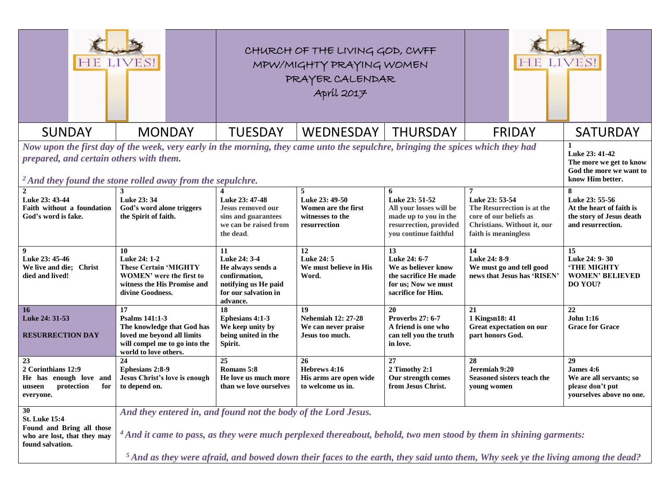|                                                                                                                                                                                                                                                                                                                                            | HE LIVES!                                                                                                                                                                                                                                                                                                                  |                                                                                                                      | CHURCH OF THE LIVING GOD, CWFF<br>MPW/MIGHTY PRAYING WOMEN<br>PRAYER CALENDAR |                                                                                                                            | HE LIVES!                                                                                                                                       |                                                                                                  |
|--------------------------------------------------------------------------------------------------------------------------------------------------------------------------------------------------------------------------------------------------------------------------------------------------------------------------------------------|----------------------------------------------------------------------------------------------------------------------------------------------------------------------------------------------------------------------------------------------------------------------------------------------------------------------------|----------------------------------------------------------------------------------------------------------------------|-------------------------------------------------------------------------------|----------------------------------------------------------------------------------------------------------------------------|-------------------------------------------------------------------------------------------------------------------------------------------------|--------------------------------------------------------------------------------------------------|
| <b>SUNDAY</b>                                                                                                                                                                                                                                                                                                                              | <b>MONDAY</b>                                                                                                                                                                                                                                                                                                              | <b>TUESDAY</b>                                                                                                       | WEDNESDAY                                                                     | <b>THURSDAY</b>                                                                                                            | <b>FRIDAY</b>                                                                                                                                   | <b>SATURDAY</b>                                                                                  |
| Now upon the first day of the week, very early in the morning, they came unto the sepulchre, bringing the spices which they had<br>Luke 23: 41-42<br>prepared, and certain others with them.<br>The more we get to know<br>God the more we want to<br>know Him better.<br>$\mu^2$ And they found the stone rolled away from the sepulchre. |                                                                                                                                                                                                                                                                                                                            |                                                                                                                      |                                                                               |                                                                                                                            |                                                                                                                                                 |                                                                                                  |
| Luke 23: 43-44<br>Faith without a foundation<br>God's word is fake.                                                                                                                                                                                                                                                                        | Luke 23: 34<br>God's word alone triggers<br>the Spirit of faith.                                                                                                                                                                                                                                                           | Luke 23: 47-48<br>Jesus removed our<br>sins and guarantees<br>we can be raised from<br>the dead.                     | Luke 23: 49-50<br>Women are the first<br>witnesses to the<br>resurrection     | 6<br>Luke 23: 51-52<br>All your losses will be<br>made up to you in the<br>resurrection, provided<br>you continue faithful | $\overline{7}$<br>Luke 23: 53-54<br>The Resurrection is at the<br>core of our beliefs as<br>Christians. Without it, our<br>faith is meaningless | 8<br>Luke 23: 55-56<br>At the heart of faith is<br>the story of Jesus death<br>and resurrection. |
| 9<br>Luke 23: 45-46<br>We live and die; Christ<br>died and lived!                                                                                                                                                                                                                                                                          | 10<br>Luke 24: 1-2<br><b>These Certain 'MIGHTY</b><br><b>WOMEN'</b> were the first to<br>witness the His Promise and<br>divine Goodness.                                                                                                                                                                                   | 11<br>Luke 24: 3-4<br>He always sends a<br>confirmation,<br>notifying us He paid<br>for our salvation in<br>advance. | 12<br>Luke 24: 5<br>We must believe in His<br>Word.                           | 13<br>Luke 24: 6-7<br>We as believer know<br>the sacrifice He made<br>for us; Now we must<br>sacrifice for Him.            | 14<br>Luke 24: 8-9<br>We must go and tell good<br>news that Jesus has 'RISEN'                                                                   | 15<br>Luke 24: 9-30<br><b>'THE MIGHTY</b><br><b>WOMEN' BELIEVED</b><br>DO YOU?                   |
| 16<br>Luke 24: 31-53<br><b>RESURRECTION DAY</b>                                                                                                                                                                                                                                                                                            | 17<br><b>Psalms 141:1-3</b><br>The knowledge that God has<br>loved me beyond all limits<br>will compel me to go into the<br>world to love others.                                                                                                                                                                          | 18<br>Ephesians 4:1-3<br>We keep unity by<br>being united in the<br>Spirit.                                          | 19<br><b>Nehemiah 12: 27-28</b><br>We can never praise<br>Jesus too much.     | 20<br><b>Proverbs 27: 6-7</b><br>A friend is one who<br>can tell you the truth<br>in love.                                 | 21<br>1 Kingsn18: 41<br>Great expectation on our<br>part honors God.                                                                            | 22<br><b>John 1:16</b><br><b>Grace for Grace</b>                                                 |
| 23<br>2 Corinthians 12:9<br>He has enough love and<br>protection<br>for<br>unseen<br>everyone.                                                                                                                                                                                                                                             | 24<br><b>Ephesians 2:8-9</b><br>Jesus Christ's love is enough<br>to depend on.                                                                                                                                                                                                                                             | 25<br>Romans 5:8<br>He love us much more<br>than we love ourselves                                                   | 26<br>Hebrews 4:16<br>His arms are open wide<br>to welcome us in.             | 27<br>2 Timothy 2:1<br>Our strength comes<br>from Jesus Christ.                                                            | 28<br>Jeremiah 9:20<br>Seasoned sisters teach the<br>young women                                                                                | 29<br>James 4:6<br>We are all servants; so<br>please don't put<br>yourselves above no one.       |
| 30<br><b>St. Luke 15:4</b><br>Found and Bring all those<br>who are lost, that they may<br>found salvation.                                                                                                                                                                                                                                 | And they entered in, and found not the body of the Lord Jesus.<br>$4$ And it came to pass, as they were much perplexed thereabout, behold, two men stood by them in shining garments:<br>$5$ And as they were afraid, and bowed down their faces to the earth, they said unto them, Why seek ye the living among the dead? |                                                                                                                      |                                                                               |                                                                                                                            |                                                                                                                                                 |                                                                                                  |